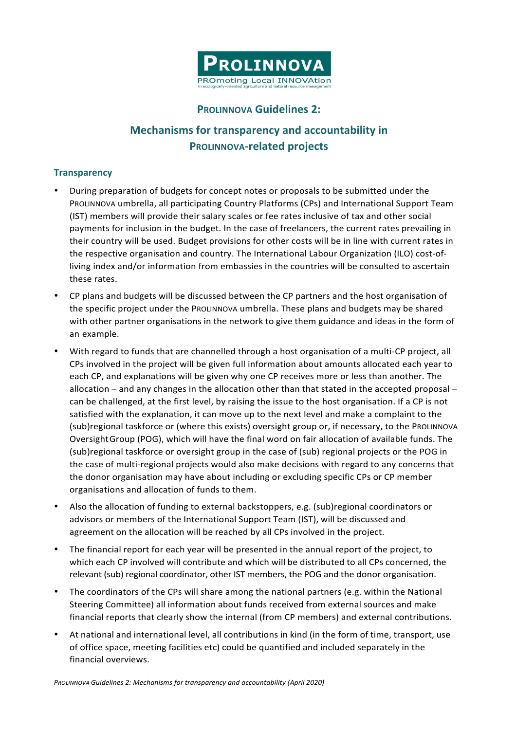

## **PROLINNOVA Guidelines 2:**

## **Mechanisms for transparency and accountability in PROLINNOVA-related projects**

## **Transparency**

- During preparation of budgets for concept notes or proposals to be submitted under the PROLINNOVA umbrella, all participating Country Platforms (CPs) and International Support Team (IST) members will provide their salary scales or fee rates inclusive of tax and other social payments for inclusion in the budget. In the case of freelancers, the current rates prevailing in their country will be used. Budget provisions for other costs will be in line with current rates in the respective organisation and country. The International Labour Organization (ILO) cost-ofliving index and/or information from embassies in the countries will be consulted to ascertain these rates.
- CP plans and budgets will be discussed between the CP partners and the host organisation of the specific project under the PROLINNOVA umbrella. These plans and budgets may be shared with other partner organisations in the network to give them guidance and ideas in the form of an example.
- With regard to funds that are channelled through a host organisation of a multi-CP project, all CPs involved in the project will be given full information about amounts allocated each year to each CP, and explanations will be given why one CP receives more or less than another. The allocation – and any changes in the allocation other than that stated in the accepted proposal – can be challenged, at the first level, by raising the issue to the host organisation. If a CP is not satisfied with the explanation, it can move up to the next level and make a complaint to the (sub)regional taskforce or (where this exists) oversight group or, if necessary, to the PROLINNOVA Oversight Group (POG), which will have the final word on fair allocation of available funds. The (sub)regional taskforce or oversight group in the case of (sub) regional projects or the POG in the case of multi-regional projects would also make decisions with regard to any concerns that the donor organisation may have about including or excluding specific CPs or CP member organisations and allocation of funds to them.
- Also the allocation of funding to external backstoppers, e.g. (sub)regional coordinators or advisors or members of the International Support Team (IST), will be discussed and agreement on the allocation will be reached by all CPs involved in the project.
- The financial report for each year will be presented in the annual report of the project, to which each CP involved will contribute and which will be distributed to all CPs concerned, the relevant (sub) regional coordinator, other IST members, the POG and the donor organisation.
- The coordinators of the CPs will share among the national partners (e.g. within the National Steering Committee) all information about funds received from external sources and make financial reports that clearly show the internal (from CP members) and external contributions.
- At national and international level, all contributions in kind (in the form of time, transport, use of office space, meeting facilities etc) could be quantified and included separately in the financial overviews.